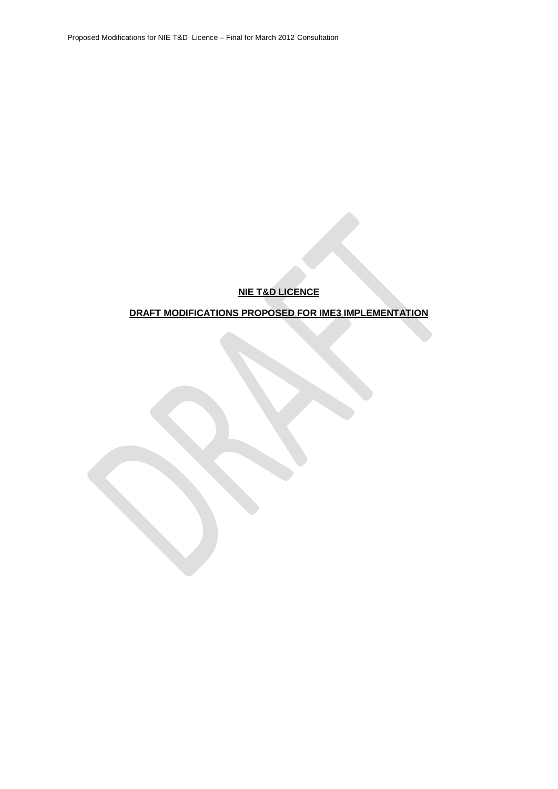# **NIE T&D LICENCE**

# **DRAFT MODIFICATIONS PROPOSED FOR IME3 IMPLEMENTATION**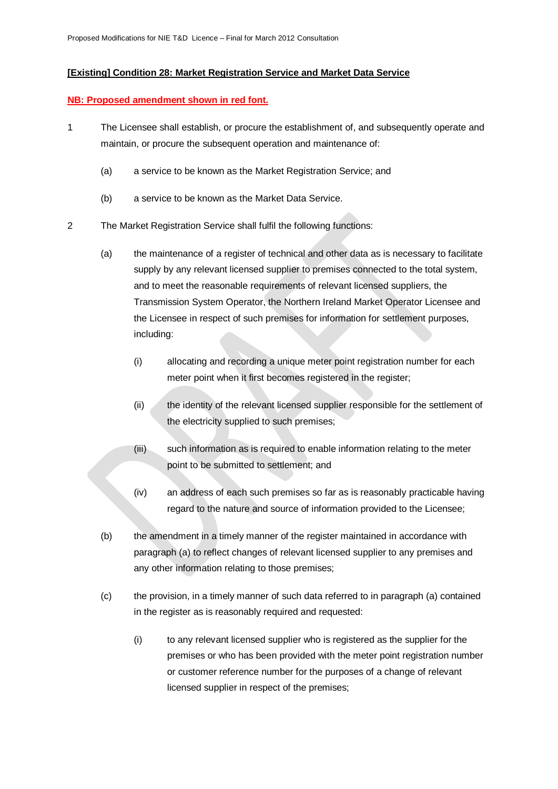## **[Existing] Condition 28: Market Registration Service and Market Data Service**

### **NB: Proposed amendment shown in red font.**

- 1 The Licensee shall establish, or procure the establishment of, and subsequently operate and maintain, or procure the subsequent operation and maintenance of:
	- (a) a service to be known as the Market Registration Service; and
	- (b) a service to be known as the Market Data Service.
- 2 The Market Registration Service shall fulfil the following functions:
	- (a) the maintenance of a register of technical and other data as is necessary to facilitate supply by any relevant licensed supplier to premises connected to the total system, and to meet the reasonable requirements of relevant licensed suppliers, the Transmission System Operator, the Northern Ireland Market Operator Licensee and the Licensee in respect of such premises for information for settlement purposes, including:
		- (i) allocating and recording a unique meter point registration number for each meter point when it first becomes registered in the register;
		- (ii) the identity of the relevant licensed supplier responsible for the settlement of the electricity supplied to such premises;
		- (iii) such information as is required to enable information relating to the meter point to be submitted to settlement; and
		- (iv) an address of each such premises so far as is reasonably practicable having regard to the nature and source of information provided to the Licensee;
	- (b) the amendment in a timely manner of the register maintained in accordance with paragraph (a) to reflect changes of relevant licensed supplier to any premises and any other information relating to those premises;
	- (c) the provision, in a timely manner of such data referred to in paragraph (a) contained in the register as is reasonably required and requested:
		- (i) to any relevant licensed supplier who is registered as the supplier for the premises or who has been provided with the meter point registration number or customer reference number for the purposes of a change of relevant licensed supplier in respect of the premises;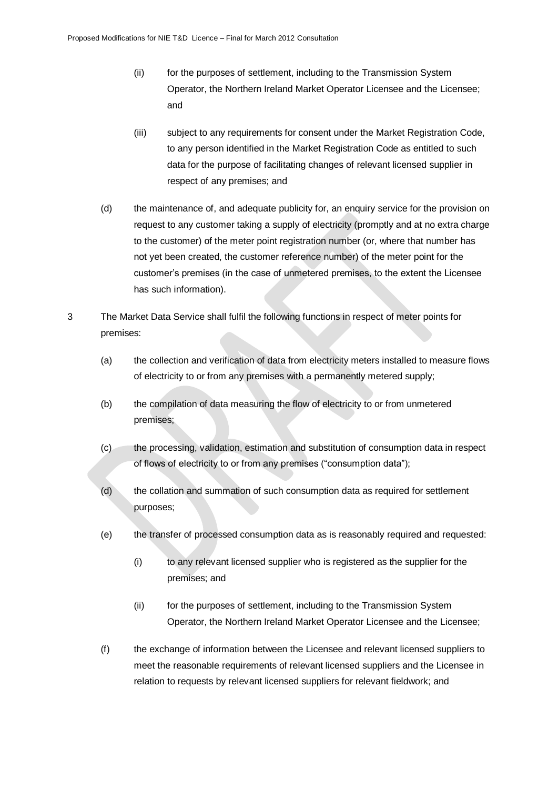- (ii) for the purposes of settlement, including to the Transmission System Operator, the Northern Ireland Market Operator Licensee and the Licensee; and
- (iii) subject to any requirements for consent under the Market Registration Code, to any person identified in the Market Registration Code as entitled to such data for the purpose of facilitating changes of relevant licensed supplier in respect of any premises; and
- (d) the maintenance of, and adequate publicity for, an enquiry service for the provision on request to any customer taking a supply of electricity (promptly and at no extra charge to the customer) of the meter point registration number (or, where that number has not yet been created, the customer reference number) of the meter point for the customer's premises (in the case of unmetered premises, to the extent the Licensee has such information).
- 3 The Market Data Service shall fulfil the following functions in respect of meter points for premises:
	- (a) the collection and verification of data from electricity meters installed to measure flows of electricity to or from any premises with a permanently metered supply;
	- (b) the compilation of data measuring the flow of electricity to or from unmetered premises;
	- (c) the processing, validation, estimation and substitution of consumption data in respect of flows of electricity to or from any premises ("consumption data");
	- (d) the collation and summation of such consumption data as required for settlement purposes;
	- (e) the transfer of processed consumption data as is reasonably required and requested:
		- (i) to any relevant licensed supplier who is registered as the supplier for the premises; and
		- (ii) for the purposes of settlement, including to the Transmission System Operator, the Northern Ireland Market Operator Licensee and the Licensee;
	- (f) the exchange of information between the Licensee and relevant licensed suppliers to meet the reasonable requirements of relevant licensed suppliers and the Licensee in relation to requests by relevant licensed suppliers for relevant fieldwork; and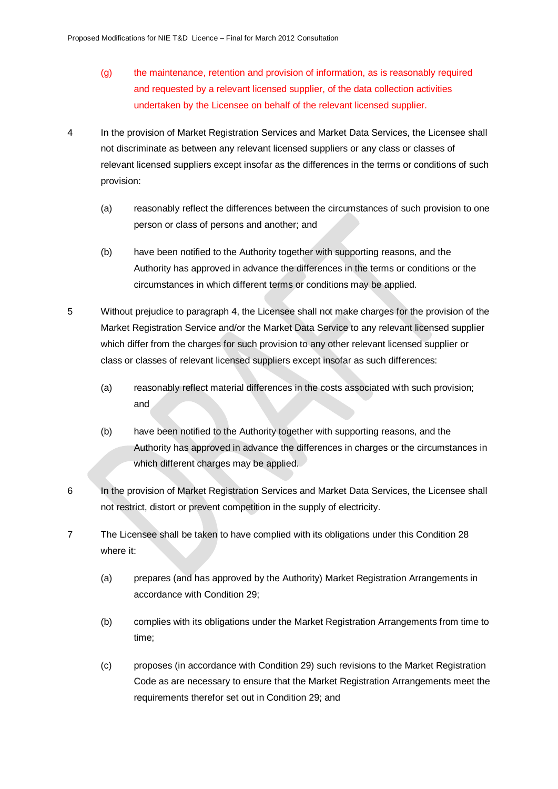- (g) the maintenance, retention and provision of information, as is reasonably required and requested by a relevant licensed supplier, of the data collection activities undertaken by the Licensee on behalf of the relevant licensed supplier.
- 4 In the provision of Market Registration Services and Market Data Services, the Licensee shall not discriminate as between any relevant licensed suppliers or any class or classes of relevant licensed suppliers except insofar as the differences in the terms or conditions of such provision:
	- (a) reasonably reflect the differences between the circumstances of such provision to one person or class of persons and another; and
	- (b) have been notified to the Authority together with supporting reasons, and the Authority has approved in advance the differences in the terms or conditions or the circumstances in which different terms or conditions may be applied.
- 5 Without prejudice to paragraph 4, the Licensee shall not make charges for the provision of the Market Registration Service and/or the Market Data Service to any relevant licensed supplier which differ from the charges for such provision to any other relevant licensed supplier or class or classes of relevant licensed suppliers except insofar as such differences:
	- (a) reasonably reflect material differences in the costs associated with such provision; and
	- (b) have been notified to the Authority together with supporting reasons, and the Authority has approved in advance the differences in charges or the circumstances in which different charges may be applied.
- 6 In the provision of Market Registration Services and Market Data Services, the Licensee shall not restrict, distort or prevent competition in the supply of electricity.
- 7 The Licensee shall be taken to have complied with its obligations under this Condition 28 where it:
	- (a) prepares (and has approved by the Authority) Market Registration Arrangements in accordance with Condition 29;
	- (b) complies with its obligations under the Market Registration Arrangements from time to time;
	- (c) proposes (in accordance with Condition 29) such revisions to the Market Registration Code as are necessary to ensure that the Market Registration Arrangements meet the requirements therefor set out in Condition 29; and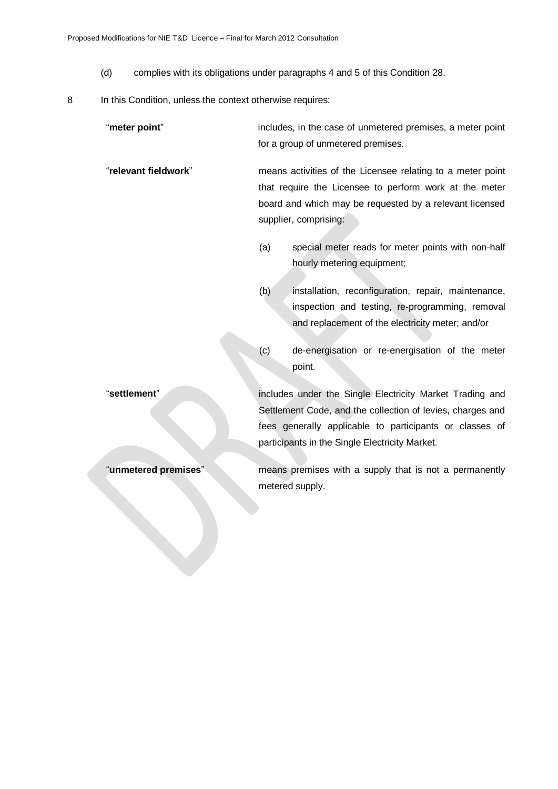- (d) complies with its obligations under paragraphs 4 and 5 of this Condition 28.
- 8 In this Condition, unless the context otherwise requires:

"**meter point**" includes, in the case of unmetered premises, a meter point for a group of unmetered premises.

"**relevant fieldwork**" means activities of the Licensee relating to a meter point that require the Licensee to perform work at the meter board and which may be requested by a relevant licensed supplier, comprising:

- (a) special meter reads for meter points with non-half hourly metering equipment;
- (b) installation, reconfiguration, repair, maintenance, inspection and testing, re-programming, removal and replacement of the electricity meter; and/or
- (c) de-energisation or re-energisation of the meter point.

"**settlement**" includes under the Single Electricity Market Trading and Settlement Code, and the collection of levies, charges and fees generally applicable to participants or classes of participants in the Single Electricity Market.

"**unmetered premises**" means premises with a supply that is not a permanently metered supply.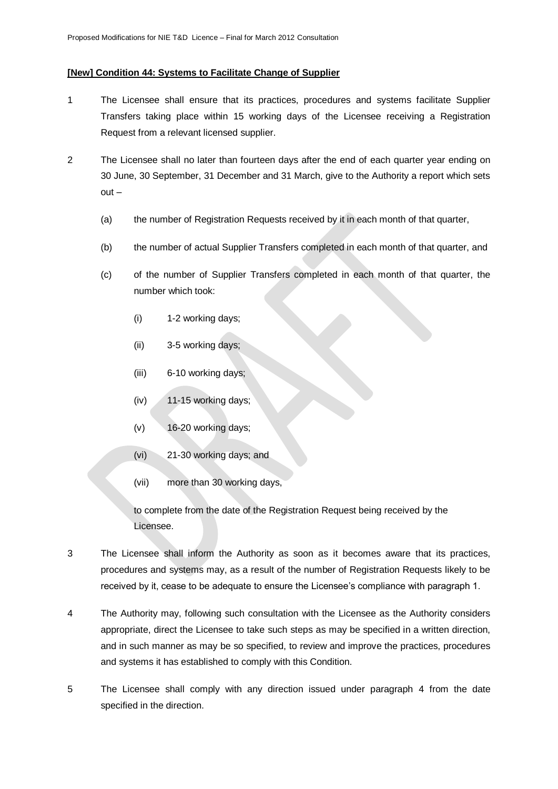## **[New] Condition 44: Systems to Facilitate Change of Supplier**

- 1 The Licensee shall ensure that its practices, procedures and systems facilitate Supplier Transfers taking place within 15 working days of the Licensee receiving a Registration Request from a relevant licensed supplier.
- 2 The Licensee shall no later than fourteen days after the end of each quarter year ending on 30 June, 30 September, 31 December and 31 March, give to the Authority a report which sets out –
	- (a) the number of Registration Requests received by it in each month of that quarter,
	- (b) the number of actual Supplier Transfers completed in each month of that quarter, and
	- (c) of the number of Supplier Transfers completed in each month of that quarter, the number which took:
		- (i) 1-2 working days;
		- (ii) 3-5 working days;
		- (iii) 6-10 working days;
		- (iv) 11-15 working days;
		- (v) 16-20 working days;
		- (vi) 21-30 working days; and
		- (vii) more than 30 working days,

to complete from the date of the Registration Request being received by the Licensee.

- 3 The Licensee shall inform the Authority as soon as it becomes aware that its practices, procedures and systems may, as a result of the number of Registration Requests likely to be received by it, cease to be adequate to ensure the Licensee's compliance with paragraph 1.
- 4 The Authority may, following such consultation with the Licensee as the Authority considers appropriate, direct the Licensee to take such steps as may be specified in a written direction, and in such manner as may be so specified, to review and improve the practices, procedures and systems it has established to comply with this Condition.
- 5 The Licensee shall comply with any direction issued under paragraph 4 from the date specified in the direction.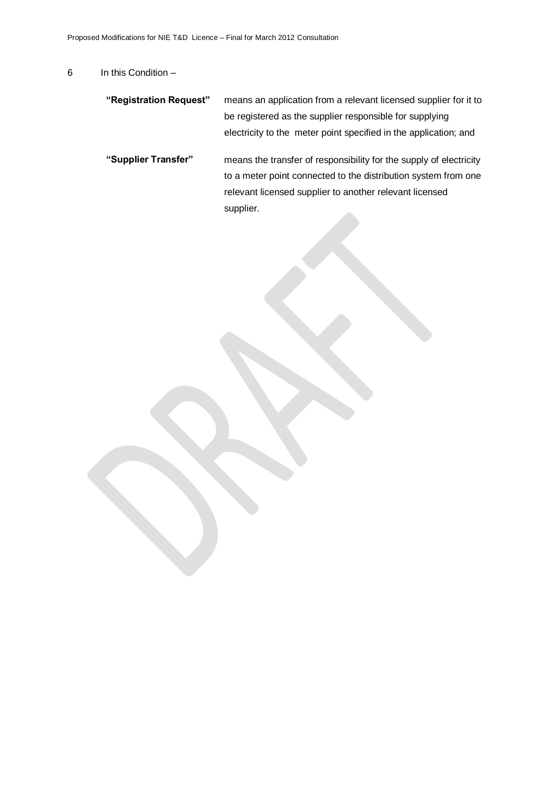## 6 In this Condition –

| "Registration Request" | means an application from a relevant licensed supplier for it to   |
|------------------------|--------------------------------------------------------------------|
|                        | be registered as the supplier responsible for supplying            |
|                        | electricity to the meter point specified in the application; and   |
| "Supplier Transfer"    | means the transfer of responsibility for the supply of electricity |
|                        | to a meter point connected to the distribution system from one     |
|                        | relevant licensed supplier to another relevant licensed            |
|                        | supplier.                                                          |
|                        |                                                                    |